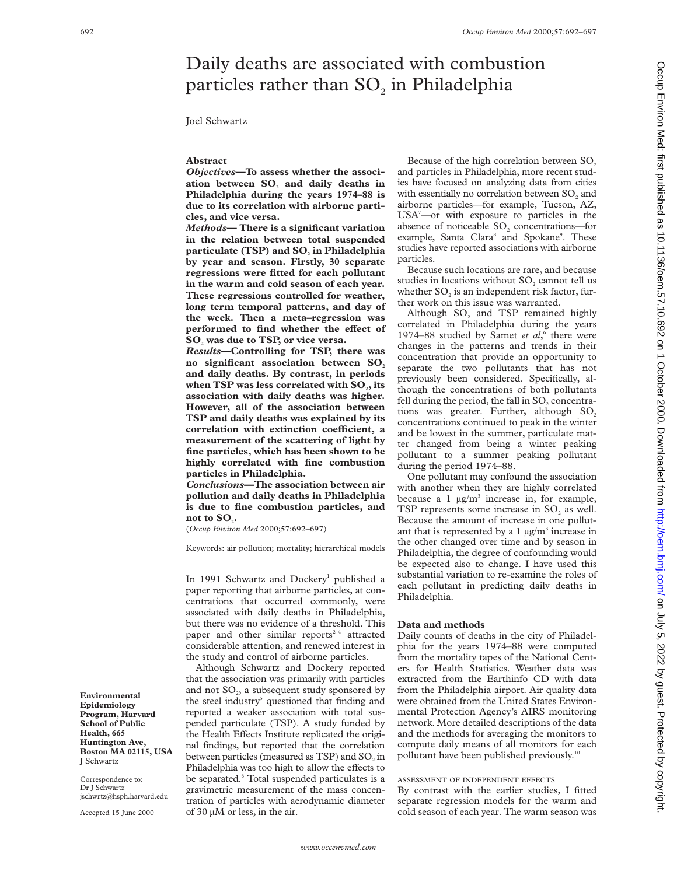# Daily deaths are associated with combustion particles rather than  $SO_2$  in Philadelphia

## Joel Schwartz

## **Abstract**

*Objectives***—To assess whether the associ**ation between SO<sub>2</sub> and daily deaths in **Philadelphia during the years 1974–88 is due to its correlation with airborne particles, and vice versa.**

*Methods***— There is a significant variation in the relation between total suspended** particulate (TSP) and SO<sub>2</sub> in Philadelphia **by year and season. Firstly, 30 separate regressions were fitted for each pollutant in the warm and cold season of each year. These regressions controlled for weather, long term temporal patterns, and day of the week. Then a meta–regression was performed** to find whether the effect of **SO2 was due to TSP, or vice versa.**

*Results***—Controlling for TSP, there was** no significant association between SO<sub>2</sub> **and daily deaths. By contrast, in periods** when TSP was less correlated with SO<sub>2</sub>, its **association with daily deaths was higher. However, all of the association between TSP and daily deaths was explained by its**  $c$ **correlation** with extinction coefficient, a **measurement of the scattering of light by fine particles, which has been shown to be highly correlated with fine combustion particles in Philadelphia.**

*Conclusions***—The association between air pollution and daily deaths in Philadelphia is due to fine combustion particles, and** not to SO<sub>.</sub>.

(*Occup Environ Med* 2000;**57**:692–697)

Keywords: air pollution; mortality; hierarchical models

In 1991 Schwartz and Dockery<sup>1</sup> published a paper reporting that airborne particles, at concentrations that occurred commonly, were associated with daily deaths in Philadelphia, but there was no evidence of a threshold. This paper and other similar reports $2-4$  attracted considerable attention, and renewed interest in the study and control of airborne particles.

Although Schwartz and Dockery reported that the association was primarily with particles and not  $SO<sub>2</sub>$ , a subsequent study sponsored by the steel industry<sup>5</sup> questioned that finding and reported a weaker association with total suspended particulate (TSP). A study funded by the Health Effects Institute replicated the original findings, but reported that the correlation between particles (measured as TSP) and SO<sub>2</sub> in Philadelphia was too high to allow the effects to be separated.<sup>6</sup> Total suspended particulates is a gravimetric measurement of the mass concentration of particles with aerodynamic diameter of 30 µM or less, in the air.

Because of the high correlation between SO<sub>2</sub> and particles in Philadelphia, more recent studies have focused on analyzing data from cities with essentially no correlation between  $SO<sub>2</sub>$  and airborne particles—for example, Tucson, AZ, USA7 —or with exposure to particles in the absence of noticeable  $SO<sub>2</sub>$  concentrations—for example, Santa Clara<sup>8</sup> and Spokane<sup>9</sup>. These studies have reported associations with airborne particles.

Because such locations are rare, and because studies in locations without SO<sub>2</sub> cannot tell us whether SO<sub>2</sub> is an independent risk factor, further work on this issue was warranted.

Although  $SO<sub>2</sub>$  and TSP remained highly correlated in Philadelphia during the years 1974–88 studied by Samet *et al*, <sup>6</sup> there were changes in the patterns and trends in their concentration that provide an opportunity to separate the two pollutants that has not previously been considered. Specifically, although the concentrations of both pollutants fell during the period, the fall in SO<sub>2</sub> concentrations was greater. Further, although  $SO<sub>2</sub>$ concentrations continued to peak in the winter and be lowest in the summer, particulate matter changed from being a winter peaking pollutant to a summer peaking pollutant during the period 1974–88.

One pollutant may confound the association with another when they are highly correlated because a 1  $\mu$ g/m<sup>3</sup> increase in, for example, TSP represents some increase in  $SO<sub>2</sub>$  as well. Because the amount of increase in one pollutant that is represented by a 1  $\mu$ g/m<sup>3</sup> increase in the other changed over time and by season in Philadelphia, the degree of confounding would be expected also to change. I have used this substantial variation to re-examine the roles of each pollutant in predicting daily deaths in Philadelphia.

## **Data and methods**

Daily counts of deaths in the city of Philadelphia for the years 1974–88 were computed from the mortality tapes of the National Centers for Health Statistics. Weather data was extracted from the Earthinfo CD with data from the Philadelphia airport. Air quality data were obtained from the United States Environmental Protection Agency's AIRS monitoring network. More detailed descriptions of the data and the methods for averaging the monitors to compute daily means of all monitors for each pollutant have been published previously.10

## ASSESSMENT OF INDEPENDENT EFFECTS

By contrast with the earlier studies, I fitted separate regression models for the warm and cold season of each year. The warm season was

**Environmental Epidemiology Program, Harvard School of Public Health, 665 Huntington Ave, Boston MA 02115, USA** J Schwartz

Correspondence to: Dr J Schwartz jschwrtz@hsph.harvard.edu

Accepted 15 June 2000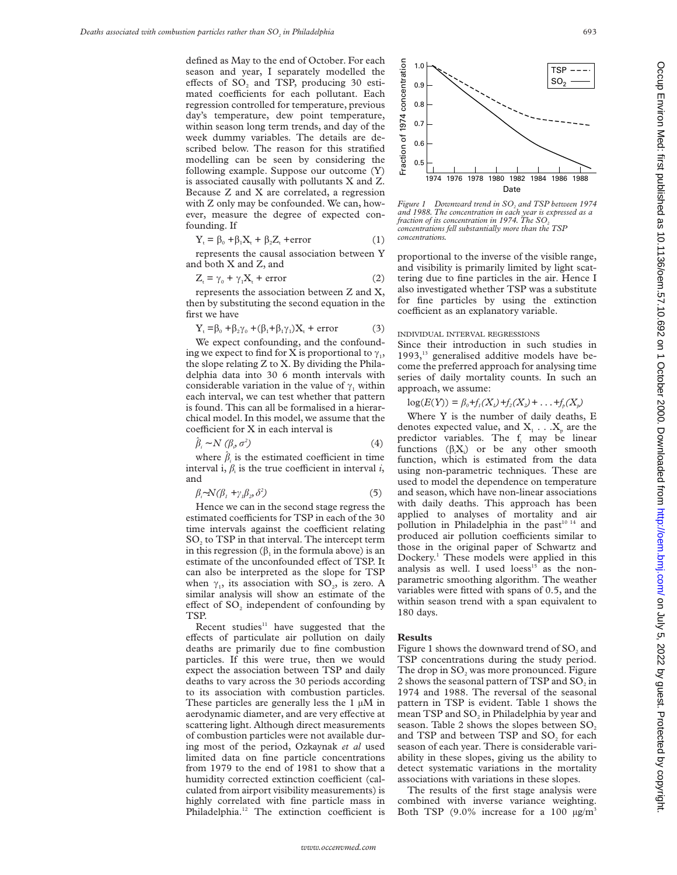defined as May to the end of October. For each season and year, I separately modelled the effects of  $SO_2$  and TSP, producing 30 estimated coefficients for each pollutant. Each regression controlled for temperature, previous day's temperature, dew point temperature, within season long term trends, and day of the week dummy variables. The details are described below. The reason for this stratified modelling can be seen by considering the following example. Suppose our outcome (Y) is associated causally with pollutants X and Z. Because Z and X are correlated, a regression with Z only may be confounded. We can, however, measure the degree of expected confounding. If

$$
Y_t = \beta_0 + \beta_1 X_t + \beta_2 Z_t + error
$$
 (1)

represents the causal association between Y and both X and Z, and

$$
Z_{t} = \gamma_{0} + \gamma_{1}X_{t} + error
$$
 (2)

represents the association between Z and X, then by substituting the second equation in the first we have

$$
Y_{t} = \beta_{0} + \beta_{2}\gamma_{0} + (\beta_{1} + \beta_{1}\gamma_{1})X_{t} + error
$$
 (3)

We expect confounding, and the confounding we expect to find for X is proportional to  $\gamma_1$ , the slope relating Z to X. By dividing the Philadelphia data into 30 6 month intervals with considerable variation in the value of  $\gamma_1$  within each interval, we can test whether that pattern is found. This can all be formalised in a hierarchical model. In this model, we assume that the  $coefficient for X in each interval is$ 

$$
\hat{\beta}_i \sim N \left( \beta_i, \sigma^2 \right) \tag{4}
$$

where  $\hat{\beta}_i$  is the estimated coefficient in time interval i,  $\beta_i$  is the true coefficient in interval *i*, and

$$
\beta_i \sim N(\beta_1 + \gamma_i \beta_2, \delta^2) \tag{5}
$$

Hence we can in the second stage regress the estimated coefficients for TSP in each of the 30 time intervals against the coefficient relating SO<sub>2</sub> to TSP in that interval. The intercept term in this regression  $(\beta_1$  in the formula above) is an estimate of the unconfounded effect of TSP. It can also be interpreted as the slope for TSP when  $\gamma_1$ , its association with SO<sub>2</sub>, is zero. A similar analysis will show an estimate of the effect of  $SO<sub>2</sub>$  independent of confounding by TSP.

Recent studies $11$  have suggested that the effects of particulate air pollution on daily deaths are primarily due to fine combustion particles. If this were true, then we would expect the association between TSP and daily deaths to vary across the 30 periods according to its association with combustion particles. These particles are generally less the 1  $\mu$ M in aerodynamic diameter, and are very effective at scattering light. Although direct measurements of combustion particles were not available during most of the period, Ozkaynak *et al* used limited data on fine particle concentrations from 1979 to the end of 1981 to show that a humidity corrected extinction coefficient (calculated from airport visibility measurements) is highly correlated with fine particle mass in Philadelphia.<sup>12</sup> The extinction coefficient is



*Figure 1* Downward trend in SO<sub>2</sub> and TSP between 1974 *and 1988. The concentration in each year is expressed as a fraction of its concentration in 1974. The SO*<sub>2</sub> *concentrations fell substantially more than the TSP concentrations.*

proportional to the inverse of the visible range, and visibility is primarily limited by light scattering due to fine particles in the air. Hence I also investigated whether TSP was a substitute for fine particles by using the extinction coefficient as an explanatory variable.

#### INDIVIDUAL INTERVAL REGRESSIONS

Since their introduction in such studies in  $1993$ ,<sup>13</sup> generalised additive models have become the preferred approach for analysing time series of daily mortality counts. In such an approach, we assume:

 $log(E(Y)) = \beta_0 + f_1(X_1) + f_2(X_2) + \ldots + f_p(X_p)$ 

Where Y is the number of daily deaths, E denotes expected value, and  $X_1 \ldots X_n$  are the predictor variables. The f<sub>i</sub> may be linear functions  $(\beta_i X_i)$  or be any other smooth function, which is estimated from the data using non-parametric techniques. These are used to model the dependence on temperature and season, which have non-linear associations with daily deaths. This approach has been applied to analyses of mortality and air pollution in Philadelphia in the past $10^{14}$  and produced air pollution coefficients similar to those in the original paper of Schwartz and Dockery.1 These models were applied in this analysis as well. I used  $\text{loss}^{15}$  as the nonparametric smoothing algorithm. The weather variables were fitted with spans of 0.5, and the within season trend with a span equivalent to 180 days.

#### **Results**

Figure 1 shows the downward trend of SO<sub>2</sub> and TSP concentrations during the study period. The drop in SO<sub>2</sub> was more pronounced. Figure 2 shows the seasonal pattern of TSP and  $SO_2$  in 1974 and 1988. The reversal of the seasonal pattern in TSP is evident. Table 1 shows the mean TSP and SO<sub>2</sub> in Philadelphia by year and season. Table 2 shows the slopes between SO<sub>2</sub> and TSP and between TSP and  $SO<sub>2</sub>$  for each season of each year. There is considerable variability in these slopes, giving us the ability to detect systematic variations in the mortality associations with variations in these slopes.

The results of the first stage analysis were combined with inverse variance weighting. Both TSP  $(9.0\%$  increase for a 100  $\mu$ g/m<sup>3</sup>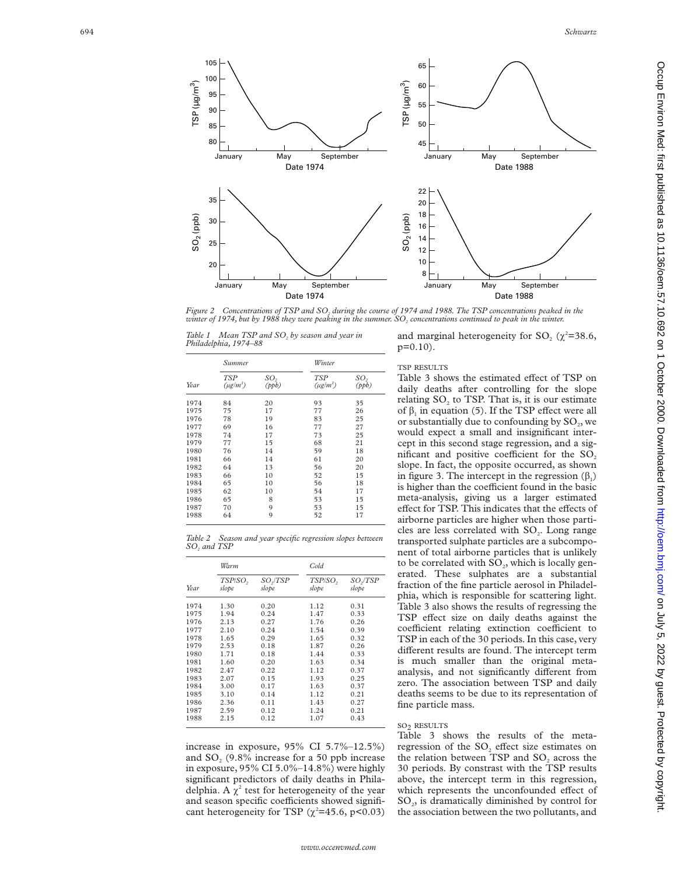



*Figure 2 Concentrations of TSP and SO <sup>2</sup> during the course of 1974 and 1988. The TSP concentrations peaked in the winter of 1974, but by 1988 they were peaking in the summer. SO <sup>2</sup> concentrations continued to peak in the winter.*

*Table 1 Mean TSP and SO <sup>2</sup> by season and year in Philadelphia, 1974–88*

| Year | Summer                      |              | Winter                      |                          |
|------|-----------------------------|--------------|-----------------------------|--------------------------|
|      | <b>TSP</b><br>$(\mu g/m^3)$ | SO,<br>(ppb) | <b>TSP</b><br>$(\mu g/m^3)$ | SO <sub>2</sub><br>(ppb) |
| 1974 | 84                          | 20           | 93                          | 35                       |
| 1975 | 75                          | 17           | 77                          | 26                       |
| 1976 | 78                          | 19           | 83                          | 25                       |
| 1977 | 69                          | 16           | 77                          | 27                       |
| 1978 | 74                          | 17           | 73                          | 25                       |
| 1979 | 77                          | 15           | 68                          | 21                       |
| 1980 | 76                          | 14           | 59                          | 18                       |
| 1981 | 66                          | 14           | 61                          | 20                       |
| 1982 | 64                          | 13           | 56                          | 20                       |
| 1983 | 66                          | 10           | 52                          | 15                       |
| 1984 | 65                          | 10           | 56                          | 18                       |
| 1985 | 62                          | 10           | 54                          | 17                       |
| 1986 | 65                          | 8            | 53                          | 15                       |
| 1987 | 70                          | 9            | 53                          | 15                       |
| 1988 | 64                          | 9            | 52                          | 17                       |

*Table 2 Season and year specific regression slopes between SO <sup>2</sup> and TSP*

| Year | Warm             |                     | Cold.            |                  |
|------|------------------|---------------------|------------------|------------------|
|      | TSP/SO,<br>slope | $SO_2/TSP$<br>slope | TSP/SO,<br>slope | SO./TSP<br>slope |
| 1974 | 1.30             | 0.20                | 1.12             | 0.31             |
| 1975 | 1.94             | 0.24                | 1.47             | 0.33             |
| 1976 | 2.13             | 0.27                | 1.76             | 0.26             |
| 1977 | 2.10             | 0.24                | 1.54             | 0.39             |
| 1978 | 1.65             | 0.29                | 1.65             | 0.32             |
| 1979 | 2.53             | 0.18                | 1.87             | 0.26             |
| 1980 | 1.71             | 0.18                | 1.44             | 0.33             |
| 1981 | 1.60             | 0.20                | 1.63             | 0.34             |
| 1982 | 2.47             | 0.22                | 1.12             | 0.37             |
| 1983 | 2.07             | 0.15                | 1.93             | 0.25             |
| 1984 | 3.00             | 0.17                | 1.63             | 0.37             |
| 1985 | 3.10             | 0.14                | 1.12             | 0.21             |
| 1986 | 2.36             | 0.11                | 1.43             | 0.27             |
| 1987 | 2.59             | 0.12                | 1.24             | 0.21             |
| 1988 | 2.15             | 0.12                | 1.07             | 0.43             |

increase in exposure, 95% CI 5.7%–12.5%) and SO <sup>2</sup> (9.8% increase for a 50 ppb increase in exposure, 95% CI 5.0%–14.8%) were highly significant predictors of daily deaths in Philadelphia. A  $\chi^2$  test for heterogeneity of the year and season specific coefficients showed significant heterogeneity for TSP ( $\chi^2$ =45.6, p<0.03)

and marginal heterogeneity for  $SO_2$  ( $\chi^2$ =38.6, p=0.10).

## TSP RESULTS

Table 3 shows the estimated effect of TSP on daily deaths after controlling for the slope relating  $SO_2$  to TSP. That is, it is our estimate of  $\beta_1$  in equation (5). If the TSP effect were all or substantially due to confounding by  $\text{SO}_2$ , we would expect a small and insignificant intercept in this second stage regression, and a significant and positive coefficient for the  $SO<sub>2</sub>$ slope. In fact, the opposite occurred, as shown in figure 3. The intercept in the regression  $(\beta_1)$ is higher than the coefficient found in the basic meta-analysis, giving us a larger estimated effect for TSP. This indicates that the effects of airborne particles are higher when those particles are less correlated with SO<sub>2</sub>. Long range transported sulphate particles are a subcomponent of total airborne particles that is unlikely to be correlated with SO 2, which is locally generated. These sulphates are a substantial fraction of the fine particle aerosol in Philadelphia, which is responsible for scattering light. Table 3 also shows the results of regressing the TSP effect size on daily deaths against the coefficient relating extinction coefficient to TSP in each of the 30 periods. In this case, very different results are found. The intercept term is much smaller than the original metaanalysis, and not significantly different from zero. The association between TSP and daily deaths seems to be due to its representation of fine particle mass.

## SO 2 RESULTS

Table 3 shows the results of the metaregression of the SO<sub>2</sub> effect size estimates on the relation between  $TSP$  and  $SO<sub>2</sub>$  across the 30 periods. By constrast with the TSP results above, the intercept term in this regression, which represents the unconfounded effect of SO 2, is dramatically diminished by control for the association between the two pollutants, and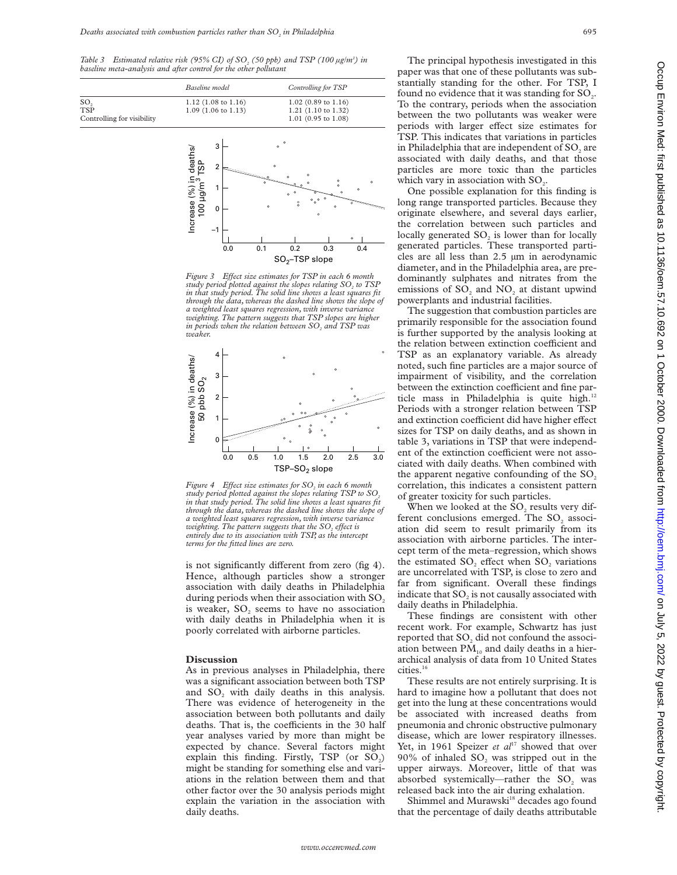*Table 3* Estimated relative risk (95% CI) of SO<sub>2</sub> (50 ppb) and TSP (100  $\mu$ g/m<sup>3</sup>) in *baseline meta-analysis and after control for the other pollutant*

|                                                             | Baseline model                                                 | Controlling for TSP                                                     |
|-------------------------------------------------------------|----------------------------------------------------------------|-------------------------------------------------------------------------|
| SO <sub>2</sub><br><b>TSP</b><br>Controlling for visibility | $1.12(1.08 \text{ to } 1.16)$<br>$1.09(1.06 \text{ to } 1.13)$ | $1.02$ (0.89 to 1.16)<br>$1.21$ (1.10 to 1.32)<br>$1.01$ (0.95 to 1.08) |



*Figure 3 Effect size estimates for TSP in each 6 month study period plotted against the slopes relating SO<sub>2</sub> to TSP in that study period. The solid line shows a least squares fit through the data, whereas the dashed line shows the slope of a weighted least squares regression, with inverse variance weighting. The pattern suggests that TSP slopes are higher in periods when the relation between SO<sub>2</sub> and TSP was weaker.*



*Figure 4 Effect size estimates for SO<sub>2</sub> in each 6 month* study period plotted against the slopes relating TSP to SO<sub>2</sub> *in that study period. The solid line shows a least squares fit through the data, whereas the dashed line shows the slope of a weighted least squares regression, with inverse variance weighting. The pattern suggests that the SO<sub>2</sub> effect is entirely due to its association with TSP, as the intercept terms for the fitted lines are zero.*

is not significantly different from zero (fig 4). Hence, although particles show a stronger association with daily deaths in Philadelphia during periods when their association with  $SO<sub>2</sub>$ is weaker, SO<sub>2</sub> seems to have no association with daily deaths in Philadelphia when it is poorly correlated with airborne particles.

#### **Discussion**

As in previous analyses in Philadelphia, there was a significant association between both TSP and  $SO<sub>2</sub>$  with daily deaths in this analysis. There was evidence of heterogeneity in the association between both pollutants and daily deaths. That is, the coefficients in the 30 half year analyses varied by more than might be expected by chance. Several factors might explain this finding. Firstly, TSP (or SO<sub>2</sub>) might be standing for something else and variations in the relation between them and that other factor over the 30 analysis periods might explain the variation in the association with daily deaths.

The principal hypothesis investigated in this paper was that one of these pollutants was substantially standing for the other. For TSP, I found no evidence that it was standing for  $SO<sub>2</sub>$ . To the contrary, periods when the association between the two pollutants was weaker were periods with larger effect size estimates for TSP. This indicates that variations in particles in Philadelphia that are independent of  $SO<sub>2</sub>$  are associated with daily deaths, and that those particles are more toxic than the particles which vary in association with  $SO<sub>2</sub>$ .

One possible explanation for this finding is long range transported particles. Because they originate elsewhere, and several days earlier, the correlation between such particles and locally generated SO<sub>2</sub> is lower than for locally generated particles. These transported particles are all less than 2.5 µm in aerodynamic diameter, and in the Philadelphia area, are predominantly sulphates and nitrates from the emissions of SO<sub>2</sub> and NO<sub>2</sub> at distant upwind powerplants and industrial facilities.

The suggestion that combustion particles are primarily responsible for the association found is further supported by the analysis looking at the relation between extinction coefficient and TSP as an explanatory variable. As already noted, such fine particles are a major source of impairment of visibility, and the correlation between the extinction coefficient and fine particle mass in Philadelphia is quite high. $12$ Periods with a stronger relation between TSP and extinction coefficient did have higher effect sizes for TSP on daily deaths, and as shown in table 3, variations in TSP that were independent of the extinction coefficient were not associated with daily deaths. When combined with the apparent negative confounding of the  $SO<sub>2</sub>$ correlation, this indicates a consistent pattern of greater toxicity for such particles.

When we looked at the SO<sub>2</sub> results very different conclusions emerged. The SO<sub>2</sub> association did seem to result primarily from its association with airborne particles. The intercept term of the meta–regression, which shows the estimated SO<sub>2</sub> effect when SO<sub>2</sub> variations are uncorrelated with TSP, is close to zero and far from significant. Overall these findings indicate that  $SO<sub>2</sub>$  is not causally associated with daily deaths in Philadelphia.

These findings are consistent with other recent work. For example, Schwartz has just reported that  $SO<sub>2</sub>$  did not confound the association between  $PM_{10}$  and daily deaths in a hierarchical analysis of data from 10 United States cities.<sup>16</sup>

These results are not entirely surprising. It is hard to imagine how a pollutant that does not get into the lung at these concentrations would be associated with increased deaths from pneumonia and chronic obstructive pulmonary disease, which are lower respiratory illnesses. Yet, in 1961 Speizer *et al*<sup>17</sup> showed that over 90% of inhaled  $SO_2$  was stripped out in the upper airways. Moreover, little of that was absorbed systemically—rather the SO<sub>2</sub> was released back into the air during exhalation.

Shimmel and Murawski<sup>18</sup> decades ago found that the percentage of daily deaths attributable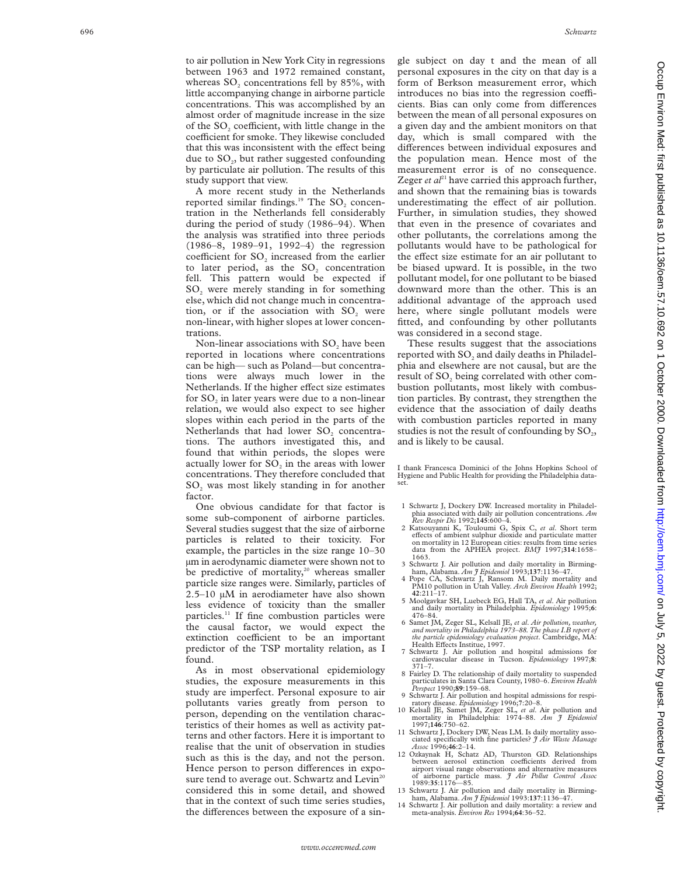to air pollution in New York City in regressions between 1963 and 1972 remained constant, whereas  $SO_2$  concentrations fell by 85%, with little accompanying change in airborne particle concentrations. This was accomplished by an almost order of magnitude increase in the size of the  $SO_2$  coefficient, with little change in the coefficient for smoke. They likewise concluded that this was inconsistent with the effect being due to SO 2, but rather suggested confounding by particulate air pollution. The results of this study support that view.

A more recent study in the Netherlands reported similar findings.<sup>19</sup> The  $SO_2$  concentration in the Netherlands fell considerably during the period of study (1986–94). When the analysis was stratified into three periods (1986–8, 1989–91, 1992–4) the regression coefficient for SO<sub>2</sub> increased from the earlier to later period, as the  $SO<sub>2</sub>$  concentration fell. This pattern would be expected if SO <sup>2</sup> were merely standing in for something else, which did not change much in concentration, or if the association with SO<sub>2</sub> were non-linear, with higher slopes at lower concentrations.

Non-linear associations with  $SO_2$  have been reported in locations where concentrations can be high— such as Poland—but concentrations were always much lower in the Netherlands. If the higher effect size estimates for SO <sup>2</sup> in later years were due to a non-linear relation, we would also expect to see higher slopes within each period in the parts of the Netherlands that had lower SO<sub>2</sub> concentrations. The authors investigated this, and found that within periods, the slopes were actually lower for  $SO_2$  in the areas with lower concentrations. They therefore concluded that SO <sup>2</sup> was most likely standing in for another factor.

One obvious candidate for that factor is some sub-component of airborne particles. Several studies suggest that the size of airborne particles is related to their toxicity. For example, the particles in the size range 10–30 µm in aerodynamic diameter were shown not to be predictive of mortality,<sup>20</sup> whereas smaller particle size ranges were. Similarly, particles of 2.5–10 µM in aerodiameter have also shown less evidence of toxicity than the smaller particles.11 If fine combustion particles were the causal factor, we would expect the extinction coefficient to be an important predictor of the TSP mortality relation, as I found.

As in most observational epidemiology studies, the exposure measurements in this study are imperfect. Personal exposure to air pollutants varies greatly from person to person, depending on the ventilation characteristics of their homes as well as activity patterns and other factors. Here it is important to realise that the unit of observation in studies such as this is the day, and not the person. Hence person to person differences in exposure tend to average out. Schwartz and Levin<sup>20</sup> considered this in some detail, and showed that in the context of such time series studies, the differences between the exposure of a single subject on day t and the mean of all personal exposures in the city on that day is a form of Berkson measurement error, which introduces no bias into the regression coefficients. Bias can only come from differences between the mean of all personal exposures on a given day and the ambient monitors on that day, which is small compared with the differences between individual exposures and the population mean. Hence most of the measurement error is of no consequence. Zeger *et*  $a^{21}$  have carried this approach further, and shown that the remaining bias is towards underestimating the effect of air pollution. Further, in simulation studies, they showed that even in the presence of covariates and other pollutants, the correlations among the pollutants would have to be pathological for the effect size estimate for an air pollutant to be biased upward. It is possible, in the two pollutant model, for one pollutant to be biased downward more than the other. This is an additional advantage of the approach used here, where single pollutant models were fitted, and confounding by other pollutants was considered in a second stage.

These results suggest that the associations reported with  $\mathrm{SO}_2$  and daily deaths in Philadelphia and elsewhere are not causal, but are the result of SO <sup>2</sup> being correlated with other combustion pollutants, most likely with combustion particles. By contrast, they strengthen the evidence that the association of daily deaths with combustion particles reported in many studies is not the result of confounding by  $\text{SO}_2$ , and is likely to be causal.

I thank Francesca Dominici of the Johns Hopkins School of Hygiene and Public Health for providing the Philadelphia dataset.

- 1 Schwartz J, Dockery DW. Increased mortality in Philadelphia associated with daily air pollution concentrations. *Am Rev Respir Dis* 1992;**145**:600–4.
- 2 Katsouyanni K, Touloumi G, Spix C, *et al.* Short term effects of ambient sulphur dioxide and particulate matter on mortality in 12 European cities: results from time series data from the APHEA project. *BMJ* 1997;**314**:1658–
- 1663. 3 Schwartz J. Air pollution and daily mortality in Birming-ham, Alabama. *Am J Epidemiol* 1993;**137**:1136–47.
- 4 Pope CA, Schwartz J, Ransom M. Daily mortality and PM10 pollution in Utah Valley. *Arch Environ Health* 1992; **<sup>42</sup>**:211–17.
- 5 Moolgavkar SH, Luebeck EG, Hall TA, *et al*. Air pollution and daily mortality in Philadelphia. *Epidemiology* 1995; **6** : 476–84.
- 6 Samet JM, Zeger SL, Kelsall JE, *et al* . *Air pollution, weather, and mortality in Philadelphia 1973–88. The phase I.B report of* t*he particle epidemiology evaluation project*. Cambridge, MA:<br>Health Effects Institue, 1997.
- 7 Schwartz J. Air pollution and hospital admissions for cardiovascular disease in Tucson. *Epidemiology* 1997; **8** : 371–7.
- Fairley D. The relationship of daily mortality to suspended particulates in Santa Clara County, 1980–6. *Environ Health Perspect* 1990;**89**:159–68.
- 9 Schwartz J. Air pollution and hospital admissions for respi-ratory disease. *Epidemiology* 1996;**7**:20–8. 10 Kelsall JE, Samet JM, Zeger SL, *et al*. Air pollution and
- mortality in Philadelphia: 1974–88. *Am J Epidemiol* 1997;**146**:750–62.
- Schwartz J, Dockery DW, Neas LM. Is daily mortality associated specifically with fine particles? *J Air Waste Manage Assoc* 1996;**46**:2–14.
- 12 Ozkaynak H, Schatz AD, Thurston GD. Relationships between aerosol extinction coefficients derived from airport visual range observations and alternative measures of airborne particle mass. *J Air Pollut Control Assoc* 1989:**35**:1176—85.
- Schwartz J. Air pollution and daily mortality in Birmingham, Alabama. *Am J Epidemiol* 1993:**137**:1136–47.
- 14 Schwartz J. Air pollution and daily mortality: a review and meta-analysis. *Environ Res* 1994;**64**:36–52.